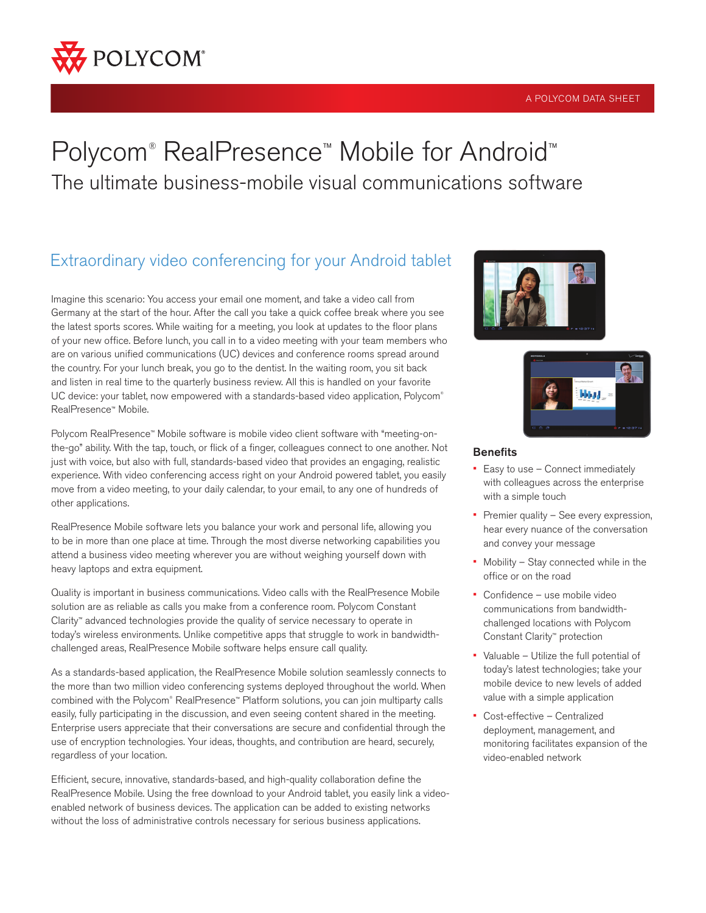

#### A POLYCOM DATA SHEET

# Polycom® RealPresence™ Mobile for Android™ The ultimate business-mobile visual communications software

# Extraordinary video conferencing for your Android tablet

Imagine this scenario: You access your email one moment, and take a video call from Germany at the start of the hour. After the call you take a quick coffee break where you see the latest sports scores. While waiting for a meeting, you look at updates to the floor plans of your new office. Before lunch, you call in to a video meeting with your team members who are on various unified communications (UC) devices and conference rooms spread around the country. For your lunch break, you go to the dentist. In the waiting room, you sit back and listen in real time to the quarterly business review. All this is handled on your favorite UC device: your tablet, now empowered with a standards-based video application, Polycom® RealPresence™ Mobile.

Polycom RealPresence™ Mobile software is mobile video client software with "meeting-onthe-go" ability. With the tap, touch, or flick of a finger, colleagues connect to one another. Not just with voice, but also with full, standards-based video that provides an engaging, realistic experience. With video conferencing access right on your Android powered tablet, you easily move from a video meeting, to your daily calendar, to your email, to any one of hundreds of other applications.

RealPresence Mobile software lets you balance your work and personal life, allowing you to be in more than one place at time. Through the most diverse networking capabilities you attend a business video meeting wherever you are without weighing yourself down with heavy laptops and extra equipment.

Quality is important in business communications. Video calls with the RealPresence Mobile solution are as reliable as calls you make from a conference room. Polycom Constant Clarity™ advanced technologies provide the quality of service necessary to operate in today's wireless environments. Unlike competitive apps that struggle to work in bandwidthchallenged areas, RealPresence Mobile software helps ensure call quality.

As a standards-based application, the RealPresence Mobile solution seamlessly connects to the more than two million video conferencing systems deployed throughout the world. When combined with the Polycom® RealPresence™ Platform solutions, you can join multiparty calls easily, fully participating in the discussion, and even seeing content shared in the meeting. Enterprise users appreciate that their conversations are secure and confidential through the use of encryption technologies. Your ideas, thoughts, and contribution are heard, securely, regardless of your location.

Efficient, secure, innovative, standards-based, and high-quality collaboration define the RealPresence Mobile. Using the free download to your Android tablet, you easily link a videoenabled network of business devices. The application can be added to existing networks without the loss of administrative controls necessary for serious business applications.





#### **Benefits**

- Easy to use Connect immediately with colleagues across the enterprise with a simple touch
- Premier quality See every expression, hear every nuance of the conversation and convey your message
- Mobility Stay connected while in the office or on the road
- Confidence use mobile video communications from bandwidthchallenged locations with Polycom Constant Clarity™ protection
- Valuable Utilize the full potential of today's latest technologies; take your mobile device to new levels of added value with a simple application
- Cost-effective Centralized deployment, management, and monitoring facilitates expansion of the video-enabled network